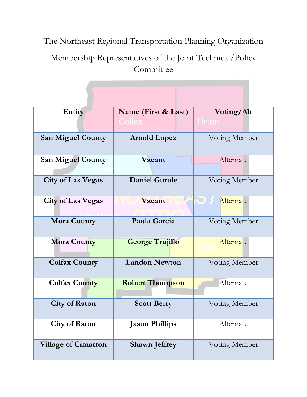The Northeast Regional Transportation Planning Organization

Membership Representatives of the Joint Technical/Policy **Committee** 

| Entity                     | Name (First & Last)<br>Colfax | Voting/Alt<br><b>Union</b> |
|----------------------------|-------------------------------|----------------------------|
| <b>San Miguel County</b>   | <b>Arnold Lopez</b>           | Voting Member              |
| <b>San Miguel County</b>   | Vacant                        | Alternate                  |
| <b>City of Las Vegas</b>   | <b>Daniel Gurule</b>          | Voting Member              |
| <b>City of Las Vegas</b>   | Vacant                        | Alternate<br>$\omega$ l    |
| <b>Mora County</b>         | Paula Garcia                  | Voting Member              |
| <b>Mora County</b>         | <b>George Trujillo</b>        | Alternate                  |
| <b>Colfax County</b>       | <b>Landon Newton</b>          | Voting Member              |
| <b>Colfax County</b>       | <b>Robert Thompson</b>        | Alternate                  |
| <b>City of Raton</b>       | <b>Scott Berry</b>            | Voting Member              |
| <b>City of Raton</b>       | <b>Jason Phillips</b>         | Alternate                  |
| <b>Village of Cimarron</b> | <b>Shawn Jeffrey</b>          | Voting Member              |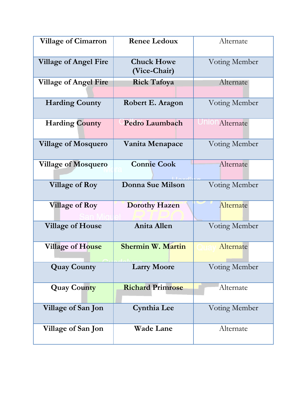| <b>Village of Cimarron</b>   | <b>Renee Ledoux</b>               | Alternate              |
|------------------------------|-----------------------------------|------------------------|
| <b>Village of Angel Fire</b> | <b>Chuck Howe</b><br>(Vice-Chair) | Voting Member          |
| <b>Village of Angel Fire</b> | <b>Rick Tafoya</b>                | Alternate              |
| <b>Harding County</b>        | Robert E. Aragon                  | Voting Member          |
| <b>Harding County</b>        | Pedro Laumbach                    | <b>INION</b> Alternate |
| <b>Village of Mosquero</b>   | Vanita Menapace                   | Voting Member          |
| <b>Village of Mosquero</b>   | <b>Connie Cook</b>                | Alternate              |
| <b>Village of Roy</b>        | <b>Donna Sue Milson</b>           | Voting Member          |
| <b>Village of Roy</b>        | <b>Dorothy Hazen</b>              | Alternate              |
| <b>Village of House</b>      | <b>Anita Allen</b>                | Voting Member          |
| Village of House             | <b>Shermin W. Martin</b>          | Alternate              |
| <b>Quay County</b>           | <b>Larry Moore</b>                | Voting Member          |
| <b>Quay County</b>           | <b>Richard Primrose</b>           | Alternate              |
| Village of San Jon           | Cynthia Lee                       | Voting Member          |
| Village of San Jon           | <b>Wade Lane</b>                  | Alternate              |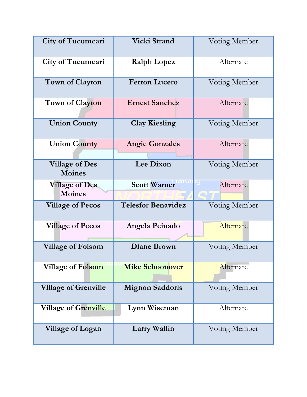| City of Tucumcari                      | <b>Vicki Strand</b>       | Voting Member |
|----------------------------------------|---------------------------|---------------|
| <b>City of Tucumcari</b>               | <b>Ralph Lopez</b>        | Alternate     |
| <b>Town of Clayton</b>                 | <b>Ferron Lucero</b>      | Voting Member |
| <b>Town of Clayton</b>                 | <b>Ernest Sanchez</b>     | Alternate     |
| <b>Union County</b>                    | <b>Clay Kiesling</b>      | Voting Member |
| <b>Union County</b>                    | <b>Angie Gonzales</b>     | Alternate     |
| <b>Village of Des</b><br><b>Moines</b> | Lee Dixon                 | Voting Member |
| <b>Village of Des</b><br><b>Moines</b> | <b>Scott Warner</b>       | Alternate     |
| <b>Village of Pecos</b>                | <b>Telesfor Benavidez</b> | Voting Member |
| <b>Village of Pecos</b>                | Angela Peinado            | Alternate     |
| <b>Village of Folsom</b>               | <b>Diane Brown</b>        | Voting Member |
| <b>Village of Folsom</b>               | <b>Mike Schoonover</b>    | Alternate     |
| <b>Village of Grenville</b>            | <b>Mignon Saddoris</b>    | Voting Member |
| Village of Grenville                   | Lynn Wiseman              | Alternate     |
| Village of Logan                       | Larry Wallin              | Voting Member |